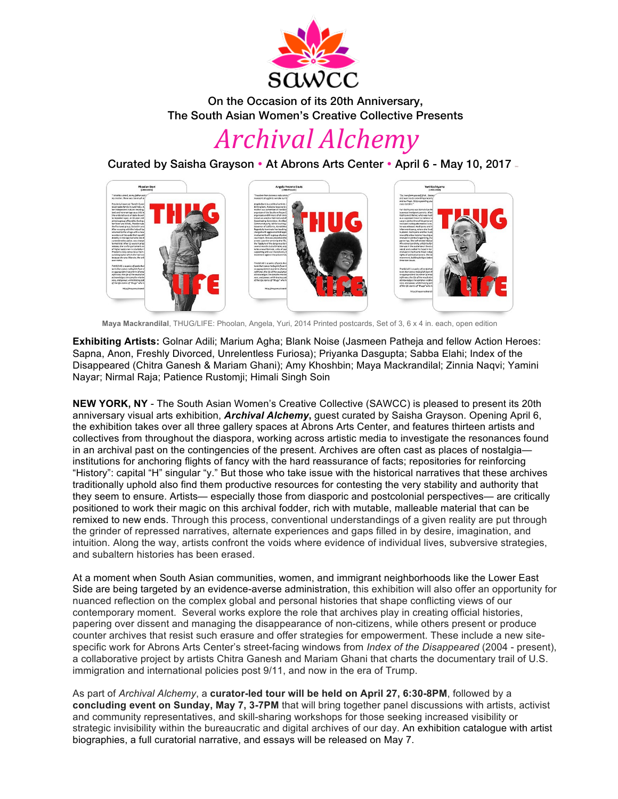

On the Occasion of its 20th Anniversary, The South Asian Women's Creative Collective Presents

## *Archival Alchemy*

Curated by Saisha Grayson . At Abrons Arts Center . April 6 - May 10, 2017 .



 **Maya Mackrandilal**, THUG/LIFE: Phoolan, Angela, Yuri, 2014 Printed postcards, Set of 3, 6 x 4 in. each, open edition

**Exhibiting Artists:** Golnar Adili; Marium Agha; Blank Noise (Jasmeen Patheja and fellow Action Heroes: Sapna, Anon, Freshly Divorced, Unrelentless Furiosa); Priyanka Dasgupta; Sabba Elahi; Index of the Disappeared (Chitra Ganesh & Mariam Ghani); Amy Khoshbin; Maya Mackrandilal; Zinnia Naqvi; Yamini Nayar; Nirmal Raja; Patience Rustomji; Himali Singh Soin

**NEW YORK, NY** - The South Asian Women's Creative Collective (SAWCC) is pleased to present its 20th anniversary visual arts exhibition, *Archival Alchemy***,** guest curated by Saisha Grayson. Opening April 6, the exhibition takes over all three gallery spaces at Abrons Arts Center, and features thirteen artists and collectives from throughout the diaspora, working across artistic media to investigate the resonances found in an archival past on the contingencies of the present. Archives are often cast as places of nostalgia institutions for anchoring flights of fancy with the hard reassurance of facts; repositories for reinforcing "History": capital "H" singular "y." But those who take issue with the historical narratives that these archives traditionally uphold also find them productive resources for contesting the very stability and authority that they seem to ensure. Artists— especially those from diasporic and postcolonial perspectives— are critically positioned to work their magic on this archival fodder, rich with mutable, malleable material that can be remixed to new ends. Through this process, conventional understandings of a given reality are put through the grinder of repressed narratives, alternate experiences and gaps filled in by desire, imagination, and intuition. Along the way, artists confront the voids where evidence of individual lives, subversive strategies, and subaltern histories has been erased.

At a moment when South Asian communities, women, and immigrant neighborhoods like the Lower East Side are being targeted by an evidence-averse administration, this exhibition will also offer an opportunity for nuanced reflection on the complex global and personal histories that shape conflicting views of our contemporary moment. Several works explore the role that archives play in creating official histories, papering over dissent and managing the disappearance of non-citizens, while others present or produce counter archives that resist such erasure and offer strategies for empowerment. These include a new sitespecific work for Abrons Arts Center's street-facing windows from *Index of the Disappeared* (2004 - present), a collaborative project by artists Chitra Ganesh and Mariam Ghani that charts the documentary trail of U.S. immigration and international policies post 9/11, and now in the era of Trump.

As part of *Archival Alchemy*, a **curator-led tour will be held on April 27, 6:30-8PM**, followed by a **concluding event on Sunday, May 7, 3-7PM** that will bring together panel discussions with artists, activist and community representatives, and skill-sharing workshops for those seeking increased visibility or strategic invisibility within the bureaucratic and digital archives of our day. An exhibition catalogue with artist biographies, a full curatorial narrative, and essays will be released on May 7.